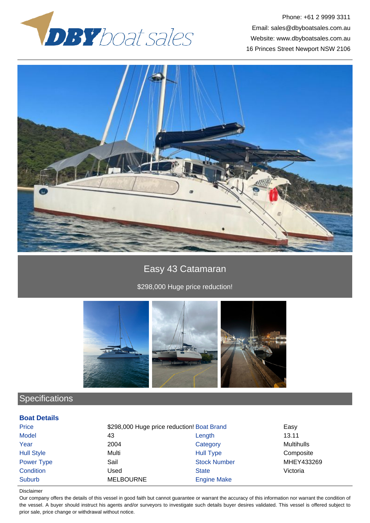



# Easy 43 Catamaran

\$298,000 Huge price reduction!



# **Specifications**

### **Boat Details**

| <b>Price</b>      | \$298,000 Huge price reduction! Boat Brand |                     | Easy              |
|-------------------|--------------------------------------------|---------------------|-------------------|
| <b>Model</b>      | 43                                         | Length              | 13.11             |
| Year              | 2004                                       | Category            | <b>Multihulls</b> |
| <b>Hull Style</b> | Multi                                      | <b>Hull Type</b>    | Composite         |
| Power Type        | Sail                                       | <b>Stock Number</b> | MHEY433269        |
| Condition         | Used                                       | <b>State</b>        | Victoria          |
| Suburb            | <b>MELBOURNE</b>                           | <b>Engine Make</b>  |                   |

#### Disclaimer

Our company offers the details of this vessel in good faith but cannot guarantee or warrant the accuracy of this information nor warrant the condition of the vessel. A buyer should instruct his agents and/or surveyors to investigate such details buyer desires validated. This vessel is offered subject to prior sale, price change or withdrawal without notice.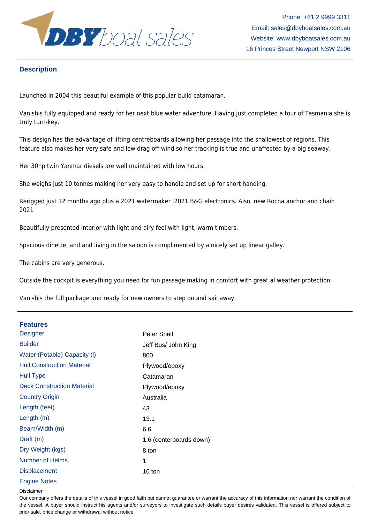

## **Description**

Launched in 2004 this beautiful example of this popular build catamaran.

Vanishis fully equipped and ready for her next blue water adventure. Having just completed a tour of Tasmania she is truly turn-key.

This design has the advantage of lifting centreboards allowing her passage into the shallowest of regions. This feature also makes her very safe and low drag off-wind so her tracking is true and unaffected by a big seaway.

Her 30hp twin Yanmar diesels are well maintained with low hours.

She weighs just 10 tonnes making her very easy to handle and set up for short handing.

Rerigged just 12 months ago plus a 2021 watermaker ,2021 B&G electronics. Also, new Rocna anchor and chain 2021

Beautifully presented interior with light and airy feel with light, warm timbers.

Spacious dinette, and and living in the saloon is complimented by a nicely set up linear galley.

The cabins are very generous.

Outside the cockpit is everything you need for fun passage making in comfort with great al weather protection.

Vanishis the full package and ready for new owners to step on and sail away.

### **Features**

| <b>Designer</b>                   | Peter Snell             |
|-----------------------------------|-------------------------|
| <b>Builder</b>                    | Jeff Bus/ John King     |
| Water (Potable) Capacity (I)      | 800                     |
| <b>Hull Construction Material</b> | Plywood/epoxy           |
| <b>Hull Type</b>                  | Catamaran               |
| <b>Deck Construction Material</b> | Plywood/epoxy           |
| <b>Country Origin</b>             | Australia               |
| Length (feet)                     | 43                      |
| Length $(m)$                      | 13.1                    |
| Beam/Width (m)                    | 6.6                     |
| Draft (m)                         | 1.6 (centerboards down) |
| Dry Weight (kgs)                  | 8 ton                   |
| Number of Helms                   | 1                       |
| <b>Displacement</b>               | 10 ton                  |
| <b>Engine Notes</b>               |                         |

Disclaimer

Our company offers the details of this vessel in good faith but cannot guarantee or warrant the accuracy of this information nor warrant the condition of the vessel. A buyer should instruct his agents and/or surveyors to investigate such details buyer desires validated. This vessel is offered subject to prior sale, price change or withdrawal without notice.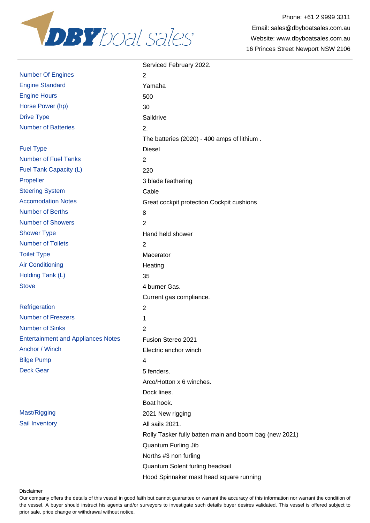

|                                           | Serviced February 2022.                                |
|-------------------------------------------|--------------------------------------------------------|
| <b>Number Of Engines</b>                  | 2                                                      |
| <b>Engine Standard</b>                    | Yamaha                                                 |
| <b>Engine Hours</b>                       | 500                                                    |
| Horse Power (hp)                          | 30                                                     |
| <b>Drive Type</b>                         | Saildrive                                              |
| <b>Number of Batteries</b>                | 2.                                                     |
|                                           | The batteries (2020) - 400 amps of lithium.            |
| <b>Fuel Type</b>                          | <b>Diesel</b>                                          |
| <b>Number of Fuel Tanks</b>               | $\overline{2}$                                         |
| Fuel Tank Capacity (L)                    | 220                                                    |
| Propeller                                 | 3 blade feathering                                     |
| <b>Steering System</b>                    | Cable                                                  |
| <b>Accomodation Notes</b>                 | Great cockpit protection. Cockpit cushions             |
| <b>Number of Berths</b>                   | 8                                                      |
| <b>Number of Showers</b>                  | $\overline{2}$                                         |
| <b>Shower Type</b>                        | Hand held shower                                       |
| <b>Number of Toilets</b>                  | $\overline{2}$                                         |
| <b>Toilet Type</b>                        | Macerator                                              |
| <b>Air Conditioning</b>                   | Heating                                                |
| Holding Tank (L)                          | 35                                                     |
| <b>Stove</b>                              | 4 burner Gas.                                          |
|                                           | Current gas compliance.                                |
| Refrigeration                             | $\overline{c}$                                         |
| <b>Number of Freezers</b>                 | 1                                                      |
| <b>Number of Sinks</b>                    | 2                                                      |
| <b>Entertainment and Appliances Notes</b> | Fusion Stereo 2021                                     |
| Anchor / Winch                            | Electric anchor winch                                  |
| <b>Bilge Pump</b>                         | 4                                                      |
| <b>Deck Gear</b>                          | 5 fenders.                                             |
|                                           | Arco/Hotton x 6 winches.                               |
|                                           | Dock lines.                                            |
|                                           | Boat hook.                                             |
| Mast/Rigging                              | 2021 New rigging                                       |
| Sail Inventory                            | All sails 2021.                                        |
|                                           | Rolly Tasker fully batten main and boom bag (new 2021) |
|                                           | Quantum Furling Jib                                    |
|                                           | Norths #3 non furling                                  |
|                                           | Quantum Solent furling headsail                        |
|                                           | Hood Spinnaker mast head square running                |

Disclaimer

Our company offers the details of this vessel in good faith but cannot guarantee or warrant the accuracy of this information nor warrant the condition of the vessel. A buyer should instruct his agents and/or surveyors to investigate such details buyer desires validated. This vessel is offered subject to prior sale, price change or withdrawal without notice.